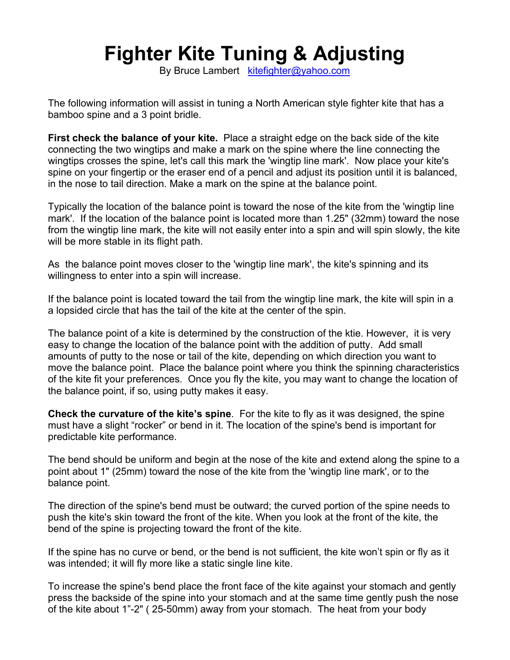## **Fighter Kite Tuning & Adjusting**

By Bruce Lambert kitefighter@yahoo.com

The following information will assist in tuning a North American style fighter kite that has a bamboo spine and a 3 point bridle.

**First check the balance of your kite.** Place a straight edge on the back side of the kite connecting the two wingtips and make a mark on the spine where the line connecting the wingtips crosses the spine, let's call this mark the 'wingtip line mark'. Now place your kite's spine on your fingertip or the eraser end of a pencil and adjust its position until it is balanced, in the nose to tail direction. Make a mark on the spine at the balance point.

Typically the location of the balance point is toward the nose of the kite from the 'wingtip line mark'. If the location of the balance point is located more than 1.25" (32mm) toward the nose from the wingtip line mark, the kite will not easily enter into a spin and will spin slowly, the kite will be more stable in its flight path.

As the balance point moves closer to the 'wingtip line mark', the kite's spinning and its willingness to enter into a spin will increase.

If the balance point is located toward the tail from the wingtip line mark, the kite will spin in a a lopsided circle that has the tail of the kite at the center of the spin.

The balance point of a kite is determined by the construction of the ktie. However, it is very easy to change the location of the balance point with the addition of putty. Add small amounts of putty to the nose or tail of the kite, depending on which direction you want to move the balance point. Place the balance point where you think the spinning characteristics of the kite fit your preferences. Once you fly the kite, you may want to change the location of the balance point, if so, using putty makes it easy.

**Check the curvature of the kite's spine**. For the kite to fly as it was designed, the spine must have a slight "rocker" or bend in it. The location of the spine's bend is important for predictable kite performance.

The bend should be uniform and begin at the nose of the kite and extend along the spine to a point about 1" (25mm) toward the nose of the kite from the 'wingtip line mark', or to the balance point.

The direction of the spine's bend must be outward; the curved portion of the spine needs to push the kite's skin toward the front of the kite. When you look at the front of the kite, the bend of the spine is projecting toward the front of the kite.

If the spine has no curve or bend, or the bend is not sufficient, the kite won't spin or fly as it was intended; it will fly more like a static single line kite.

To increase the spine's bend place the front face of the kite against your stomach and gently press the backside of the spine into your stomach and at the same time gently push the nose of the kite about 1"-2" ( 25-50mm) away from your stomach. The heat from your body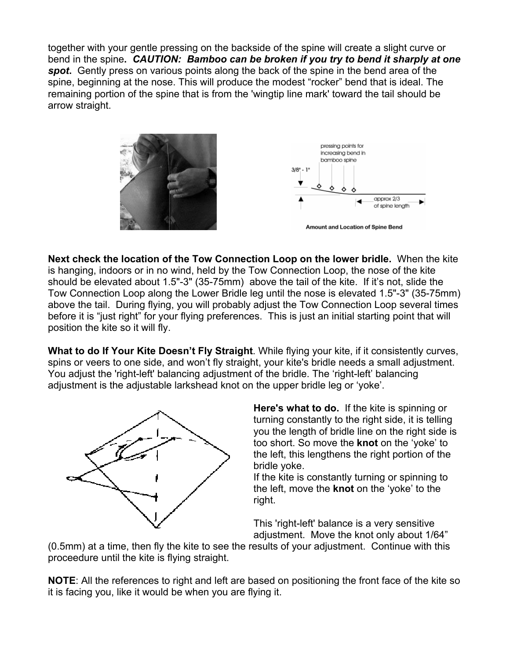together with your gentle pressing on the backside of the spine will create a slight curve or bend in the spine**.** *CAUTION: Bamboo can be broken if you try to bend it sharply at one spot***.** Gently press on various points along the back of the spine in the bend area of the spine, beginning at the nose. This will produce the modest "rocker" bend that is ideal. The remaining portion of the spine that is from the 'wingtip line mark' toward the tail should be arrow straight.



**Next check the location of the Tow Connection Loop on the lower bridle.** When the kite is hanging, indoors or in no wind, held by the Tow Connection Loop, the nose of the kite should be elevated about 1.5"-3" (35-75mm) above the tail of the kite. If it's not, slide the Tow Connection Loop along the Lower Bridle leg until the nose is elevated 1.5"-3" (35-75mm) above the tail. During flying, you will probably adjust the Tow Connection Loop several times before it is "just right" for your flying preferences. This is just an initial starting point that will position the kite so it will fly.

**What to do If Your Kite Doesn't Fly Straight**. While flying your kite, if it consistently curves, spins or veers to one side, and won't fly straight, your kite's bridle needs a small adjustment. You adjust the 'right-left' balancing adjustment of the bridle. The 'right-left' balancing adjustment is the adjustable larkshead knot on the upper bridle leg or 'yoke'.



**Here's what to do.** If the kite is spinning or turning constantly to the right side, it is telling you the length of bridle line on the right side is too short. So move the **knot** on the 'yoke' to the left, this lengthens the right portion of the bridle yoke.

If the kite is constantly turning or spinning to the left, move the **knot** on the 'yoke' to the right.

This 'right-left' balance is a very sensitive adjustment. Move the knot only about 1/64"

(0.5mm) at a time, then fly the kite to see the results of your adjustment. Continue with this proceedure until the kite is flying straight.

**NOTE**: All the references to right and left are based on positioning the front face of the kite so it is facing you, like it would be when you are flying it.